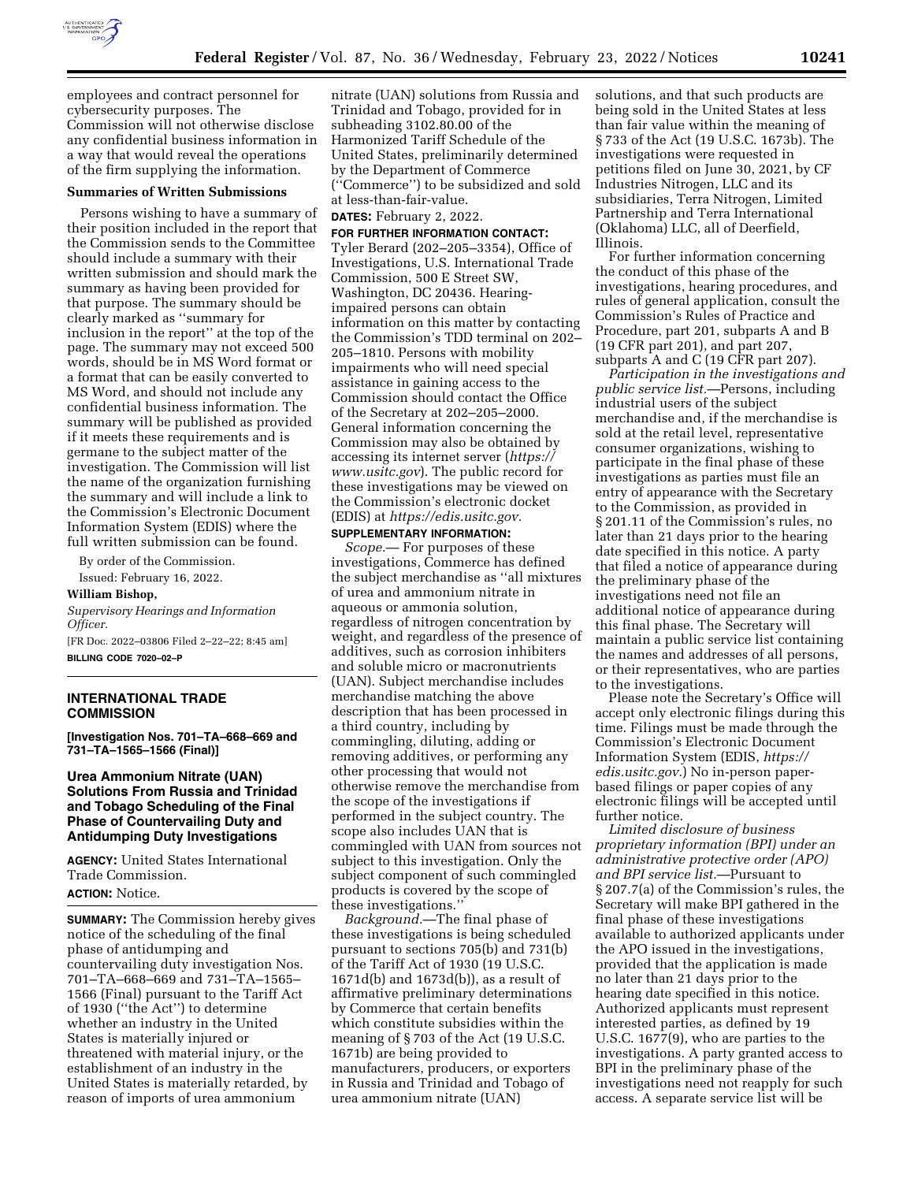

employees and contract personnel for cybersecurity purposes. The Commission will not otherwise disclose any confidential business information in a way that would reveal the operations of the firm supplying the information.

#### **Summaries of Written Submissions**

Persons wishing to have a summary of their position included in the report that the Commission sends to the Committee should include a summary with their written submission and should mark the summary as having been provided for that purpose. The summary should be clearly marked as ''summary for inclusion in the report'' at the top of the page. The summary may not exceed 500 words, should be in MS Word format or a format that can be easily converted to MS Word, and should not include any confidential business information. The summary will be published as provided if it meets these requirements and is germane to the subject matter of the investigation. The Commission will list the name of the organization furnishing the summary and will include a link to the Commission's Electronic Document Information System (EDIS) where the full written submission can be found.

By order of the Commission.

Issued: February 16, 2022.

#### **William Bishop,**

*Supervisory Hearings and Information Officer.* 

[FR Doc. 2022–03806 Filed 2–22–22; 8:45 am] **BILLING CODE 7020–02–P** 

# **INTERNATIONAL TRADE COMMISSION**

**[Investigation Nos. 701–TA–668–669 and 731–TA–1565–1566 (Final)]** 

# **Urea Ammonium Nitrate (UAN) Solutions From Russia and Trinidad and Tobago Scheduling of the Final Phase of Countervailing Duty and Antidumping Duty Investigations**

**AGENCY:** United States International Trade Commission. **ACTION:** Notice.

**SUMMARY:** The Commission hereby gives notice of the scheduling of the final phase of antidumping and countervailing duty investigation Nos. 701–TA–668–669 and 731–TA–1565– 1566 (Final) pursuant to the Tariff Act of 1930 (''the Act'') to determine whether an industry in the United States is materially injured or threatened with material injury, or the establishment of an industry in the United States is materially retarded, by reason of imports of urea ammonium

nitrate (UAN) solutions from Russia and Trinidad and Tobago, provided for in subheading 3102.80.00 of the Harmonized Tariff Schedule of the United States, preliminarily determined by the Department of Commerce (''Commerce'') to be subsidized and sold at less-than-fair-value.

**DATES:** February 2, 2022.

## **FOR FURTHER INFORMATION CONTACT:**

Tyler Berard (202–205–3354), Office of Investigations, U.S. International Trade Commission, 500 E Street SW, Washington, DC 20436. Hearingimpaired persons can obtain information on this matter by contacting the Commission's TDD terminal on 202– 205–1810. Persons with mobility impairments who will need special assistance in gaining access to the Commission should contact the Office of the Secretary at 202–205–2000. General information concerning the Commission may also be obtained by accessing its internet server (*https:// www.usitc.gov*). The public record for these investigations may be viewed on the Commission's electronic docket (EDIS) at *https://edis.usitc.gov.* 

## **SUPPLEMENTARY INFORMATION:**

*Scope.*— For purposes of these investigations, Commerce has defined the subject merchandise as ''all mixtures of urea and ammonium nitrate in aqueous or ammonia solution, regardless of nitrogen concentration by weight, and regardless of the presence of additives, such as corrosion inhibiters and soluble micro or macronutrients (UAN). Subject merchandise includes merchandise matching the above description that has been processed in a third country, including by commingling, diluting, adding or removing additives, or performing any other processing that would not otherwise remove the merchandise from the scope of the investigations if performed in the subject country. The scope also includes UAN that is commingled with UAN from sources not subject to this investigation. Only the subject component of such commingled products is covered by the scope of these investigations.''

*Background.*—The final phase of these investigations is being scheduled pursuant to sections 705(b) and 731(b) of the Tariff Act of 1930 (19 U.S.C. 1671d(b) and 1673d(b)), as a result of affirmative preliminary determinations by Commerce that certain benefits which constitute subsidies within the meaning of § 703 of the Act (19 U.S.C. 1671b) are being provided to manufacturers, producers, or exporters in Russia and Trinidad and Tobago of urea ammonium nitrate (UAN)

solutions, and that such products are being sold in the United States at less than fair value within the meaning of § 733 of the Act (19 U.S.C. 1673b). The investigations were requested in petitions filed on June 30, 2021, by CF Industries Nitrogen, LLC and its subsidiaries, Terra Nitrogen, Limited Partnership and Terra International (Oklahoma) LLC, all of Deerfield, Illinois.

For further information concerning the conduct of this phase of the investigations, hearing procedures, and rules of general application, consult the Commission's Rules of Practice and Procedure, part 201, subparts A and B (19 CFR part 201), and part 207, subparts A and C (19 CFR part 207).

*Participation in the investigations and public service list.*—Persons, including industrial users of the subject merchandise and, if the merchandise is sold at the retail level, representative consumer organizations, wishing to participate in the final phase of these investigations as parties must file an entry of appearance with the Secretary to the Commission, as provided in § 201.11 of the Commission's rules, no later than 21 days prior to the hearing date specified in this notice. A party that filed a notice of appearance during the preliminary phase of the investigations need not file an additional notice of appearance during this final phase. The Secretary will maintain a public service list containing the names and addresses of all persons, or their representatives, who are parties to the investigations.

Please note the Secretary's Office will accept only electronic filings during this time. Filings must be made through the Commission's Electronic Document Information System (EDIS, *https:// edis.usitc.gov.*) No in-person paperbased filings or paper copies of any electronic filings will be accepted until further notice.

*Limited disclosure of business proprietary information (BPI) under an administrative protective order (APO) and BPI service list.*—Pursuant to § 207.7(a) of the Commission's rules, the Secretary will make BPI gathered in the final phase of these investigations available to authorized applicants under the APO issued in the investigations, provided that the application is made no later than 21 days prior to the hearing date specified in this notice. Authorized applicants must represent interested parties, as defined by 19 U.S.C. 1677(9), who are parties to the investigations. A party granted access to BPI in the preliminary phase of the investigations need not reapply for such access. A separate service list will be